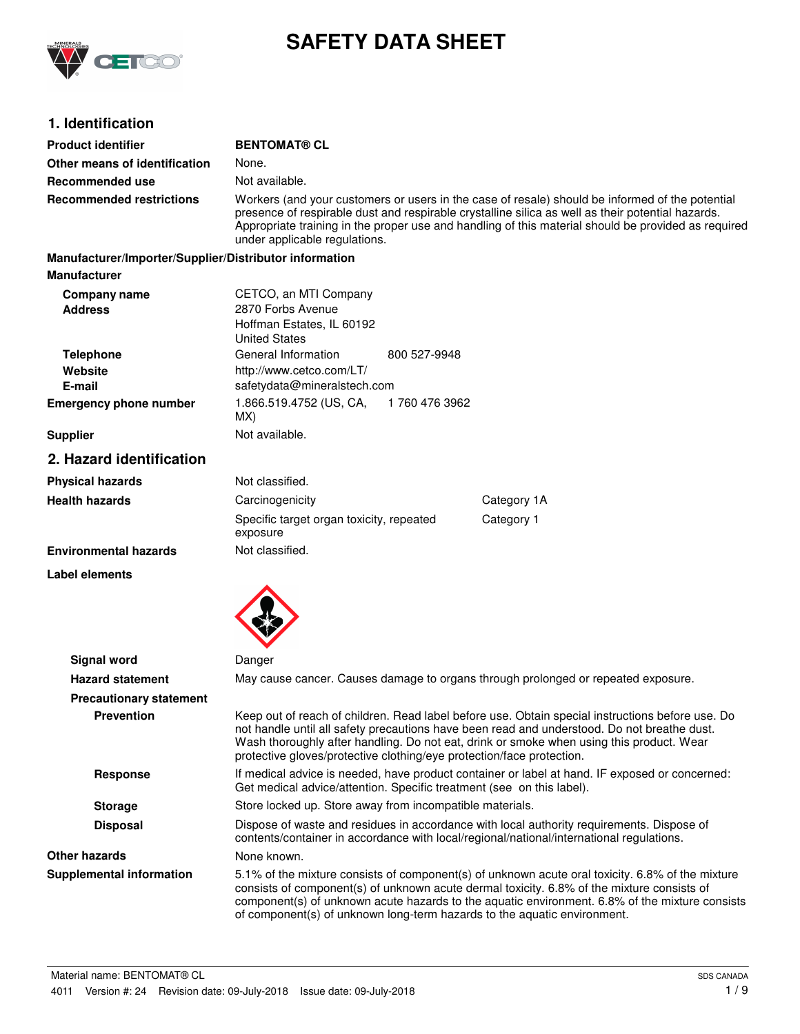

# **SAFETY DATA SHEET**

# **1. Identification**

| <b>Product identifier</b>                              | <b>BENTOMAT® CL</b>                                                                                                                                                                                                                                                                                                                          |                |                                                                                                                                                                                                                                                                                                                                                                              |
|--------------------------------------------------------|----------------------------------------------------------------------------------------------------------------------------------------------------------------------------------------------------------------------------------------------------------------------------------------------------------------------------------------------|----------------|------------------------------------------------------------------------------------------------------------------------------------------------------------------------------------------------------------------------------------------------------------------------------------------------------------------------------------------------------------------------------|
| Other means of identification                          | None.                                                                                                                                                                                                                                                                                                                                        |                |                                                                                                                                                                                                                                                                                                                                                                              |
| Recommended use                                        | Not available.                                                                                                                                                                                                                                                                                                                               |                |                                                                                                                                                                                                                                                                                                                                                                              |
| <b>Recommended restrictions</b>                        | Workers (and your customers or users in the case of resale) should be informed of the potential<br>presence of respirable dust and respirable crystalline silica as well as their potential hazards.<br>Appropriate training in the proper use and handling of this material should be provided as required<br>under applicable regulations. |                |                                                                                                                                                                                                                                                                                                                                                                              |
| Manufacturer/Importer/Supplier/Distributor information |                                                                                                                                                                                                                                                                                                                                              |                |                                                                                                                                                                                                                                                                                                                                                                              |
| <b>Manufacturer</b>                                    |                                                                                                                                                                                                                                                                                                                                              |                |                                                                                                                                                                                                                                                                                                                                                                              |
| Company name<br><b>Address</b>                         | CETCO, an MTI Company<br>2870 Forbs Avenue<br>Hoffman Estates, IL 60192<br><b>United States</b>                                                                                                                                                                                                                                              |                |                                                                                                                                                                                                                                                                                                                                                                              |
| <b>Telephone</b><br>Website<br>E-mail                  | General Information<br>http://www.cetco.com/LT/<br>safetydata@mineralstech.com                                                                                                                                                                                                                                                               | 800 527-9948   |                                                                                                                                                                                                                                                                                                                                                                              |
| <b>Emergency phone number</b>                          | 1.866.519.4752 (US, CA,<br>MX)                                                                                                                                                                                                                                                                                                               | 1 760 476 3962 |                                                                                                                                                                                                                                                                                                                                                                              |
| <b>Supplier</b>                                        | Not available.                                                                                                                                                                                                                                                                                                                               |                |                                                                                                                                                                                                                                                                                                                                                                              |
| 2. Hazard identification                               |                                                                                                                                                                                                                                                                                                                                              |                |                                                                                                                                                                                                                                                                                                                                                                              |
| <b>Physical hazards</b>                                | Not classified.                                                                                                                                                                                                                                                                                                                              |                |                                                                                                                                                                                                                                                                                                                                                                              |
| <b>Health hazards</b>                                  | Carcinogenicity                                                                                                                                                                                                                                                                                                                              |                | Category 1A                                                                                                                                                                                                                                                                                                                                                                  |
|                                                        | Specific target organ toxicity, repeated<br>exposure                                                                                                                                                                                                                                                                                         |                | Category 1                                                                                                                                                                                                                                                                                                                                                                   |
| <b>Environmental hazards</b>                           | Not classified.                                                                                                                                                                                                                                                                                                                              |                |                                                                                                                                                                                                                                                                                                                                                                              |
| Label elements                                         |                                                                                                                                                                                                                                                                                                                                              |                |                                                                                                                                                                                                                                                                                                                                                                              |
| <b>Signal word</b>                                     | Danger                                                                                                                                                                                                                                                                                                                                       |                |                                                                                                                                                                                                                                                                                                                                                                              |
| <b>Hazard statement</b>                                |                                                                                                                                                                                                                                                                                                                                              |                | May cause cancer. Causes damage to organs through prolonged or repeated exposure.                                                                                                                                                                                                                                                                                            |
| <b>Precautionary statement</b>                         |                                                                                                                                                                                                                                                                                                                                              |                |                                                                                                                                                                                                                                                                                                                                                                              |
| <b>Prevention</b>                                      | protective gloves/protective clothing/eye protection/face protection.                                                                                                                                                                                                                                                                        |                | Keep out of reach of children. Read label before use. Obtain special instructions before use. Do<br>not handle until all safety precautions have been read and understood. Do not breathe dust.<br>Wash thoroughly after handling. Do not eat, drink or smoke when using this product. Wear                                                                                  |
| <b>Response</b>                                        | If medical advice is needed, have product container or label at hand. IF exposed or concerned:<br>Get medical advice/attention. Specific treatment (see on this label).                                                                                                                                                                      |                |                                                                                                                                                                                                                                                                                                                                                                              |
| <b>Storage</b>                                         | Store locked up. Store away from incompatible materials.                                                                                                                                                                                                                                                                                     |                |                                                                                                                                                                                                                                                                                                                                                                              |
| <b>Disposal</b>                                        | Dispose of waste and residues in accordance with local authority requirements. Dispose of<br>contents/container in accordance with local/regional/national/international regulations.                                                                                                                                                        |                |                                                                                                                                                                                                                                                                                                                                                                              |
| <b>Other hazards</b>                                   | None known.                                                                                                                                                                                                                                                                                                                                  |                |                                                                                                                                                                                                                                                                                                                                                                              |
| <b>Supplemental information</b>                        |                                                                                                                                                                                                                                                                                                                                              |                | 5.1% of the mixture consists of component(s) of unknown acute oral toxicity. 6.8% of the mixture<br>consists of component(s) of unknown acute dermal toxicity. 6.8% of the mixture consists of<br>component(s) of unknown acute hazards to the aquatic environment. 6.8% of the mixture consists<br>of component(s) of unknown long-term hazards to the aquatic environment. |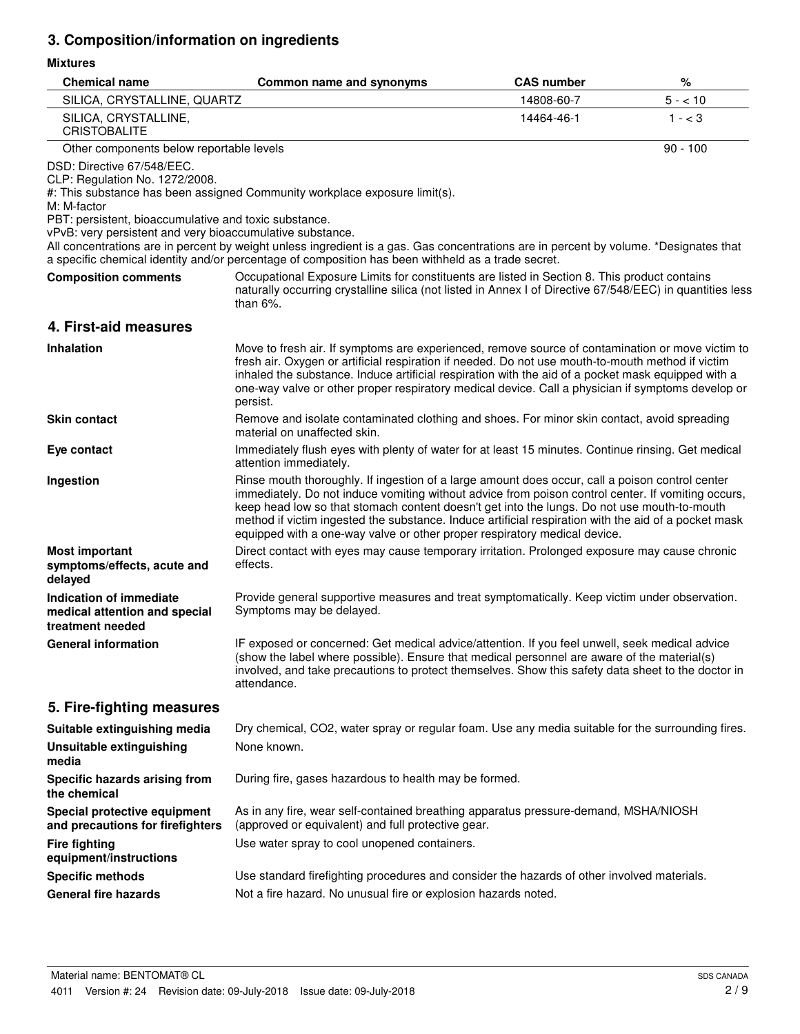# **3. Composition/information on ingredients**

## **Mixtures**

| <b>Chemical name</b>                                                                                                                                                                              | Common name and synonyms                                                                                                                                                                                                                                                                                                                                                                                                                                                                  | <b>CAS number</b> | %          |
|---------------------------------------------------------------------------------------------------------------------------------------------------------------------------------------------------|-------------------------------------------------------------------------------------------------------------------------------------------------------------------------------------------------------------------------------------------------------------------------------------------------------------------------------------------------------------------------------------------------------------------------------------------------------------------------------------------|-------------------|------------|
| SILICA, CRYSTALLINE, QUARTZ                                                                                                                                                                       |                                                                                                                                                                                                                                                                                                                                                                                                                                                                                           | 14808-60-7        | $5 - 10$   |
| SILICA, CRYSTALLINE,<br><b>CRISTOBALITE</b>                                                                                                                                                       |                                                                                                                                                                                                                                                                                                                                                                                                                                                                                           | 14464-46-1        | $1 - < 3$  |
| Other components below reportable levels                                                                                                                                                          |                                                                                                                                                                                                                                                                                                                                                                                                                                                                                           |                   | $90 - 100$ |
| DSD: Directive 67/548/EEC.<br>CLP: Regulation No. 1272/2008.<br>M: M-factor<br>PBT: persistent, bioaccumulative and toxic substance.<br>vPvB: very persistent and very bioaccumulative substance. | #: This substance has been assigned Community workplace exposure limit(s).                                                                                                                                                                                                                                                                                                                                                                                                                |                   |            |
|                                                                                                                                                                                                   | All concentrations are in percent by weight unless ingredient is a gas. Gas concentrations are in percent by volume. *Designates that<br>a specific chemical identity and/or percentage of composition has been withheld as a trade secret.                                                                                                                                                                                                                                               |                   |            |
| <b>Composition comments</b>                                                                                                                                                                       | Occupational Exposure Limits for constituents are listed in Section 8. This product contains<br>naturally occurring crystalline silica (not listed in Annex I of Directive 67/548/EEC) in quantities less<br>than $6\%$ .                                                                                                                                                                                                                                                                 |                   |            |
| 4. First-aid measures                                                                                                                                                                             |                                                                                                                                                                                                                                                                                                                                                                                                                                                                                           |                   |            |
| <b>Inhalation</b>                                                                                                                                                                                 | Move to fresh air. If symptoms are experienced, remove source of contamination or move victim to<br>fresh air. Oxygen or artificial respiration if needed. Do not use mouth-to-mouth method if victim<br>inhaled the substance. Induce artificial respiration with the aid of a pocket mask equipped with a<br>one-way valve or other proper respiratory medical device. Call a physician if symptoms develop or<br>persist.                                                              |                   |            |
| <b>Skin contact</b>                                                                                                                                                                               | Remove and isolate contaminated clothing and shoes. For minor skin contact, avoid spreading<br>material on unaffected skin.                                                                                                                                                                                                                                                                                                                                                               |                   |            |
| Eye contact                                                                                                                                                                                       | Immediately flush eyes with plenty of water for at least 15 minutes. Continue rinsing. Get medical<br>attention immediately.                                                                                                                                                                                                                                                                                                                                                              |                   |            |
| Ingestion                                                                                                                                                                                         | Rinse mouth thoroughly. If ingestion of a large amount does occur, call a poison control center<br>immediately. Do not induce vomiting without advice from poison control center. If vomiting occurs,<br>keep head low so that stomach content doesn't get into the lungs. Do not use mouth-to-mouth<br>method if victim ingested the substance. Induce artificial respiration with the aid of a pocket mask<br>equipped with a one-way valve or other proper respiratory medical device. |                   |            |
| <b>Most important</b><br>symptoms/effects, acute and<br>delayed                                                                                                                                   | Direct contact with eyes may cause temporary irritation. Prolonged exposure may cause chronic<br>effects.                                                                                                                                                                                                                                                                                                                                                                                 |                   |            |
| Indication of immediate<br>medical attention and special<br>treatment needed                                                                                                                      | Provide general supportive measures and treat symptomatically. Keep victim under observation.<br>Symptoms may be delayed.                                                                                                                                                                                                                                                                                                                                                                 |                   |            |
| <b>General information</b>                                                                                                                                                                        | IF exposed or concerned: Get medical advice/attention. If you feel unwell, seek medical advice<br>(show the label where possible). Ensure that medical personnel are aware of the material(s)<br>involved, and take precautions to protect themselves. Show this safety data sheet to the doctor in<br>attendance.                                                                                                                                                                        |                   |            |
| 5. Fire-fighting measures                                                                                                                                                                         |                                                                                                                                                                                                                                                                                                                                                                                                                                                                                           |                   |            |
| Suitable extinguishing media                                                                                                                                                                      | Dry chemical, CO2, water spray or regular foam. Use any media suitable for the surrounding fires.                                                                                                                                                                                                                                                                                                                                                                                         |                   |            |
| <b>Unsuitable extinguishing</b><br>media                                                                                                                                                          | None known.                                                                                                                                                                                                                                                                                                                                                                                                                                                                               |                   |            |
| Specific hazards arising from<br>the chemical                                                                                                                                                     | During fire, gases hazardous to health may be formed.                                                                                                                                                                                                                                                                                                                                                                                                                                     |                   |            |
| Special protective equipment<br>and precautions for firefighters                                                                                                                                  | As in any fire, wear self-contained breathing apparatus pressure-demand, MSHA/NIOSH<br>(approved or equivalent) and full protective gear.                                                                                                                                                                                                                                                                                                                                                 |                   |            |
| <b>Fire fighting</b><br>equipment/instructions                                                                                                                                                    | Use water spray to cool unopened containers.                                                                                                                                                                                                                                                                                                                                                                                                                                              |                   |            |
| <b>Specific methods</b>                                                                                                                                                                           | Use standard firefighting procedures and consider the hazards of other involved materials.                                                                                                                                                                                                                                                                                                                                                                                                |                   |            |
| <b>General fire hazards</b>                                                                                                                                                                       | Not a fire hazard. No unusual fire or explosion hazards noted.                                                                                                                                                                                                                                                                                                                                                                                                                            |                   |            |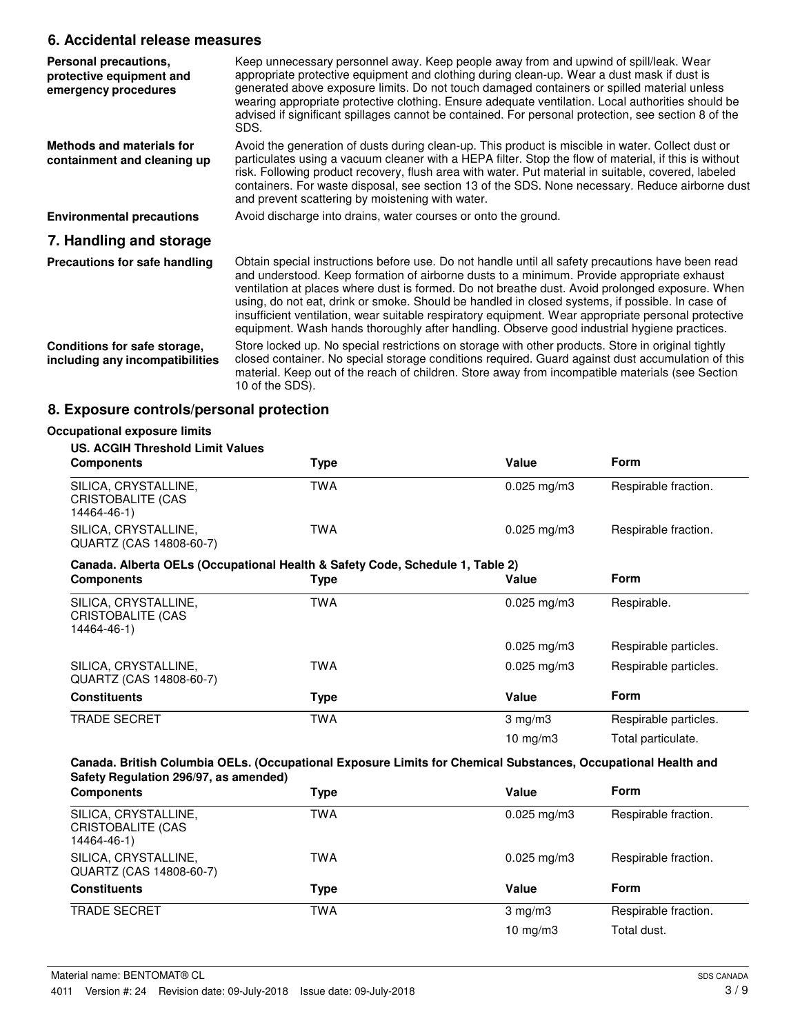# **6. Accidental release measures**

| Personal precautions,<br>protective equipment and<br>emergency procedures | Keep unnecessary personnel away. Keep people away from and upwind of spill/leak. Wear<br>appropriate protective equipment and clothing during clean-up. Wear a dust mask if dust is<br>generated above exposure limits. Do not touch damaged containers or spilled material unless<br>wearing appropriate protective clothing. Ensure adequate ventilation. Local authorities should be<br>advised if significant spillages cannot be contained. For personal protection, see section 8 of the<br>SDS.                                                                                                      |
|---------------------------------------------------------------------------|-------------------------------------------------------------------------------------------------------------------------------------------------------------------------------------------------------------------------------------------------------------------------------------------------------------------------------------------------------------------------------------------------------------------------------------------------------------------------------------------------------------------------------------------------------------------------------------------------------------|
| Methods and materials for<br>containment and cleaning up                  | Avoid the generation of dusts during clean-up. This product is miscible in water. Collect dust or<br>particulates using a vacuum cleaner with a HEPA filter. Stop the flow of material, if this is without<br>risk. Following product recovery, flush area with water. Put material in suitable, covered, labeled<br>containers. For waste disposal, see section 13 of the SDS. None necessary. Reduce airborne dust<br>and prevent scattering by moistening with water.                                                                                                                                    |
| <b>Environmental precautions</b>                                          | Avoid discharge into drains, water courses or onto the ground.                                                                                                                                                                                                                                                                                                                                                                                                                                                                                                                                              |
| 7. Handling and storage                                                   |                                                                                                                                                                                                                                                                                                                                                                                                                                                                                                                                                                                                             |
| Precautions for safe handling                                             | Obtain special instructions before use. Do not handle until all safety precautions have been read<br>and understood. Keep formation of airborne dusts to a minimum. Provide appropriate exhaust<br>ventilation at places where dust is formed. Do not breathe dust. Avoid prolonged exposure. When<br>using, do not eat, drink or smoke. Should be handled in closed systems, if possible. In case of<br>insufficient ventilation, wear suitable respiratory equipment. Wear appropriate personal protective<br>equipment. Wash hands thoroughly after handling. Observe good industrial hygiene practices. |
| Conditions for safe storage,<br>including any incompatibilities           | Store locked up. No special restrictions on storage with other products. Store in original tightly<br>closed container. No special storage conditions required. Guard against dust accumulation of this<br>material. Keep out of the reach of children. Store away from incompatible materials (see Section<br>10 of the SDS).                                                                                                                                                                                                                                                                              |

# **8. Exposure controls/personal protection**

| <b>US. ACGIH Threshold Limit Values</b>                                       |            |                         |                       |
|-------------------------------------------------------------------------------|------------|-------------------------|-----------------------|
| <b>Components</b>                                                             | Type       | Value                   | Form                  |
| SILICA, CRYSTALLINE,<br><b>CRISTOBALITE (CAS</b><br>14464-46-1)               | <b>TWA</b> | $0.025$ mg/m3           | Respirable fraction.  |
| SILICA, CRYSTALLINE,<br>QUARTZ (CAS 14808-60-7)                               | <b>TWA</b> | $0.025 \,\mathrm{mg/m}$ | Respirable fraction.  |
| Canada. Alberta OELs (Occupational Health & Safety Code, Schedule 1, Table 2) |            |                         |                       |
| <b>Components</b>                                                             | Type       | Value                   | Form                  |
| SILICA, CRYSTALLINE,<br>CRISTOBALITE (CAS<br>14464-46-1)                      | <b>TWA</b> | $0.025$ mg/m3           | Respirable.           |
|                                                                               |            | $0.025$ mg/m3           | Respirable particles. |
| SILICA, CRYSTALLINE,<br>QUARTZ (CAS 14808-60-7)                               | <b>TWA</b> | $0.025$ mg/m3           | Respirable particles. |
| <b>Constituents</b>                                                           | Type       | Value                   | Form                  |
| <b>TRADE SECRET</b>                                                           | <b>TWA</b> | $3$ mg/m $3$            | Respirable particles. |
|                                                                               |            | 10 mg/m $3$             | Total particulate.    |

| SILICA, CRYSTALLINE,<br><b>TWA</b><br>Respirable fraction.<br>$0.025 \,\mathrm{mg/m}$<br>CRISTOBALITE (CAS<br>14464-46-1)<br>SILICA, CRYSTALLINE,<br>TWA<br>Respirable fraction.<br>$0.025 \text{ mg/m}$ 3<br>QUARTZ (CAS 14808-60-7)<br><b>Form</b><br><b>Constituents</b><br>Value<br>Type<br><b>TRADE SECRET</b><br>TWA<br>Respirable fraction.<br>$3 \text{ mg/m}$<br>$10 \text{ mg/m}$<br>Total dust. | <b>Components</b> | Type | Value | <b>Form</b> |
|------------------------------------------------------------------------------------------------------------------------------------------------------------------------------------------------------------------------------------------------------------------------------------------------------------------------------------------------------------------------------------------------------------|-------------------|------|-------|-------------|
|                                                                                                                                                                                                                                                                                                                                                                                                            |                   |      |       |             |
|                                                                                                                                                                                                                                                                                                                                                                                                            |                   |      |       |             |
|                                                                                                                                                                                                                                                                                                                                                                                                            |                   |      |       |             |
|                                                                                                                                                                                                                                                                                                                                                                                                            |                   |      |       |             |
|                                                                                                                                                                                                                                                                                                                                                                                                            |                   |      |       |             |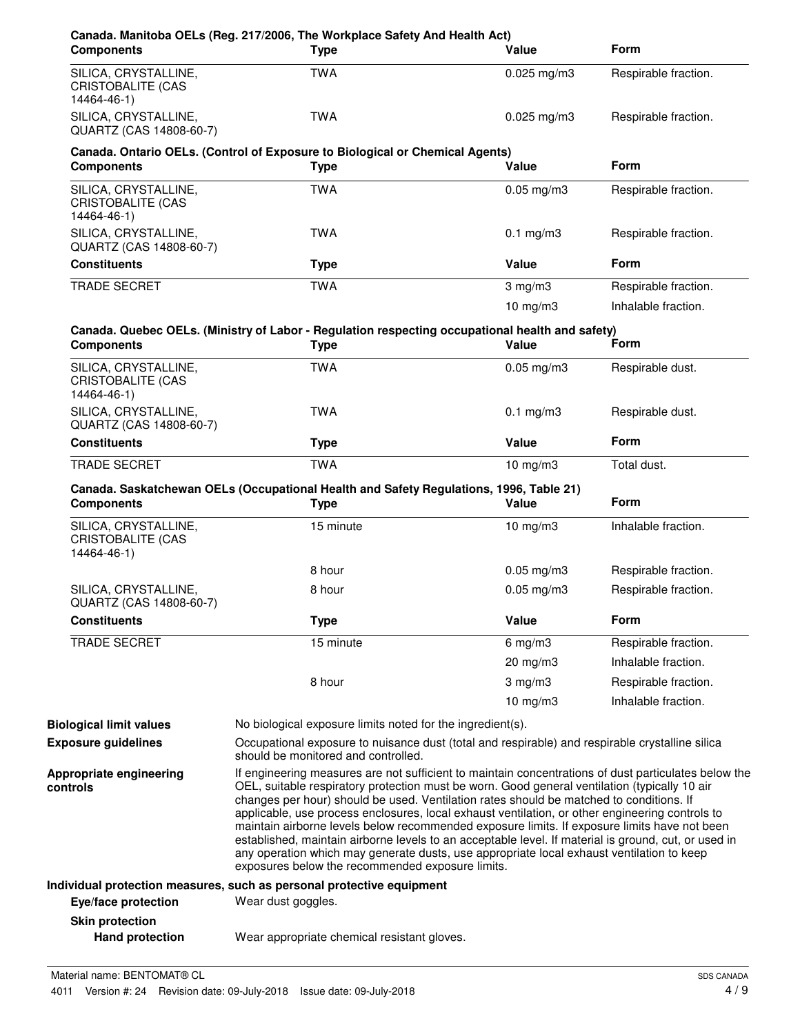| <b>Components</b>                                               | Canada. Manitoba OELs (Reg. 217/2006, The Workplace Safety And Health Act)<br><b>Type</b>                                                                                                                                                                                                                                                                                                                                                                                                                                                                                                                                                                                                                                                                    | Value                | Form                 |
|-----------------------------------------------------------------|--------------------------------------------------------------------------------------------------------------------------------------------------------------------------------------------------------------------------------------------------------------------------------------------------------------------------------------------------------------------------------------------------------------------------------------------------------------------------------------------------------------------------------------------------------------------------------------------------------------------------------------------------------------------------------------------------------------------------------------------------------------|----------------------|----------------------|
| SILICA, CRYSTALLINE,<br><b>CRISTOBALITE (CAS</b><br>14464-46-1) | <b>TWA</b>                                                                                                                                                                                                                                                                                                                                                                                                                                                                                                                                                                                                                                                                                                                                                   | $0.025$ mg/m3        | Respirable fraction. |
| SILICA, CRYSTALLINE,<br>QUARTZ (CAS 14808-60-7)                 | <b>TWA</b>                                                                                                                                                                                                                                                                                                                                                                                                                                                                                                                                                                                                                                                                                                                                                   | $0.025$ mg/m3        | Respirable fraction. |
| <b>Components</b>                                               | Canada. Ontario OELs. (Control of Exposure to Biological or Chemical Agents)<br><b>Type</b>                                                                                                                                                                                                                                                                                                                                                                                                                                                                                                                                                                                                                                                                  | Value                | Form                 |
| SILICA, CRYSTALLINE,<br>CRISTOBALITE (CAS<br>14464-46-1)        | <b>TWA</b>                                                                                                                                                                                                                                                                                                                                                                                                                                                                                                                                                                                                                                                                                                                                                   | $0.05$ mg/m $3$      | Respirable fraction. |
| SILICA, CRYSTALLINE,<br>QUARTZ (CAS 14808-60-7)                 | <b>TWA</b>                                                                                                                                                                                                                                                                                                                                                                                                                                                                                                                                                                                                                                                                                                                                                   | $0.1$ mg/m $3$       | Respirable fraction. |
| <b>Constituents</b>                                             | <b>Type</b>                                                                                                                                                                                                                                                                                                                                                                                                                                                                                                                                                                                                                                                                                                                                                  | Value                | <b>Form</b>          |
| <b>TRADE SECRET</b>                                             | <b>TWA</b>                                                                                                                                                                                                                                                                                                                                                                                                                                                                                                                                                                                                                                                                                                                                                   | $3$ mg/m $3$         | Respirable fraction. |
|                                                                 |                                                                                                                                                                                                                                                                                                                                                                                                                                                                                                                                                                                                                                                                                                                                                              | $10$ mg/m $3$        | Inhalable fraction.  |
| <b>Components</b>                                               | Canada. Quebec OELs. (Ministry of Labor - Regulation respecting occupational health and safety)<br><b>Type</b>                                                                                                                                                                                                                                                                                                                                                                                                                                                                                                                                                                                                                                               | Value                | Form                 |
| SILICA, CRYSTALLINE,<br><b>CRISTOBALITE (CAS</b><br>14464-46-1) | <b>TWA</b>                                                                                                                                                                                                                                                                                                                                                                                                                                                                                                                                                                                                                                                                                                                                                   | $0.05$ mg/m $3$      | Respirable dust.     |
| SILICA, CRYSTALLINE,<br>QUARTZ (CAS 14808-60-7)                 | TWA                                                                                                                                                                                                                                                                                                                                                                                                                                                                                                                                                                                                                                                                                                                                                          | $0.1 \text{ mg/m}$ 3 | Respirable dust.     |
| <b>Constituents</b>                                             | <b>Type</b>                                                                                                                                                                                                                                                                                                                                                                                                                                                                                                                                                                                                                                                                                                                                                  | Value                | <b>Form</b>          |
| TRADE SECRET                                                    | <b>TWA</b>                                                                                                                                                                                                                                                                                                                                                                                                                                                                                                                                                                                                                                                                                                                                                   | 10 mg/m3             | Total dust.          |
| <b>Components</b>                                               | Canada. Saskatchewan OELs (Occupational Health and Safety Regulations, 1996, Table 21)<br><b>Type</b>                                                                                                                                                                                                                                                                                                                                                                                                                                                                                                                                                                                                                                                        | Value                | <b>Form</b>          |
| SILICA, CRYSTALLINE,<br><b>CRISTOBALITE (CAS</b><br>14464-46-1) | 15 minute                                                                                                                                                                                                                                                                                                                                                                                                                                                                                                                                                                                                                                                                                                                                                    | $10$ mg/m $3$        | Inhalable fraction.  |
|                                                                 | 8 hour                                                                                                                                                                                                                                                                                                                                                                                                                                                                                                                                                                                                                                                                                                                                                       | $0.05$ mg/m3         | Respirable fraction. |
| SILICA, CRYSTALLINE,<br>QUARTZ (CAS 14808-60-7)                 | 8 hour                                                                                                                                                                                                                                                                                                                                                                                                                                                                                                                                                                                                                                                                                                                                                       | $0.05$ mg/m $3$      | Respirable fraction. |
| <b>Constituents</b>                                             | <b>Type</b>                                                                                                                                                                                                                                                                                                                                                                                                                                                                                                                                                                                                                                                                                                                                                  | Value                | Form                 |
| <b>TRADE SECRET</b>                                             | 15 minute                                                                                                                                                                                                                                                                                                                                                                                                                                                                                                                                                                                                                                                                                                                                                    | 6 mg/m $3$           | Respirable fraction. |
|                                                                 |                                                                                                                                                                                                                                                                                                                                                                                                                                                                                                                                                                                                                                                                                                                                                              | 20 mg/m3             | Inhalable fraction.  |
|                                                                 | 8 hour                                                                                                                                                                                                                                                                                                                                                                                                                                                                                                                                                                                                                                                                                                                                                       | $3$ mg/m $3$         | Respirable fraction. |
|                                                                 |                                                                                                                                                                                                                                                                                                                                                                                                                                                                                                                                                                                                                                                                                                                                                              | 10 $mg/m3$           | Inhalable fraction.  |
| <b>Biological limit values</b>                                  | No biological exposure limits noted for the ingredient(s).                                                                                                                                                                                                                                                                                                                                                                                                                                                                                                                                                                                                                                                                                                   |                      |                      |
| <b>Exposure guidelines</b>                                      | Occupational exposure to nuisance dust (total and respirable) and respirable crystalline silica<br>should be monitored and controlled.                                                                                                                                                                                                                                                                                                                                                                                                                                                                                                                                                                                                                       |                      |                      |
| Appropriate engineering<br>controls                             | If engineering measures are not sufficient to maintain concentrations of dust particulates below the<br>OEL, suitable respiratory protection must be worn. Good general ventilation (typically 10 air<br>changes per hour) should be used. Ventilation rates should be matched to conditions. If<br>applicable, use process enclosures, local exhaust ventilation, or other engineering controls to<br>maintain airborne levels below recommended exposure limits. If exposure limits have not been<br>established, maintain airborne levels to an acceptable level. If material is ground, cut, or used in<br>any operation which may generate dusts, use appropriate local exhaust ventilation to keep<br>exposures below the recommended exposure limits. |                      |                      |
|                                                                 | Individual protection measures, such as personal protective equipment                                                                                                                                                                                                                                                                                                                                                                                                                                                                                                                                                                                                                                                                                        |                      |                      |
| Eye/face protection                                             | Wear dust goggles.                                                                                                                                                                                                                                                                                                                                                                                                                                                                                                                                                                                                                                                                                                                                           |                      |                      |
| <b>Skin protection</b>                                          |                                                                                                                                                                                                                                                                                                                                                                                                                                                                                                                                                                                                                                                                                                                                                              |                      |                      |
| <b>Hand protection</b>                                          | Wear appropriate chemical resistant gloves.                                                                                                                                                                                                                                                                                                                                                                                                                                                                                                                                                                                                                                                                                                                  |                      |                      |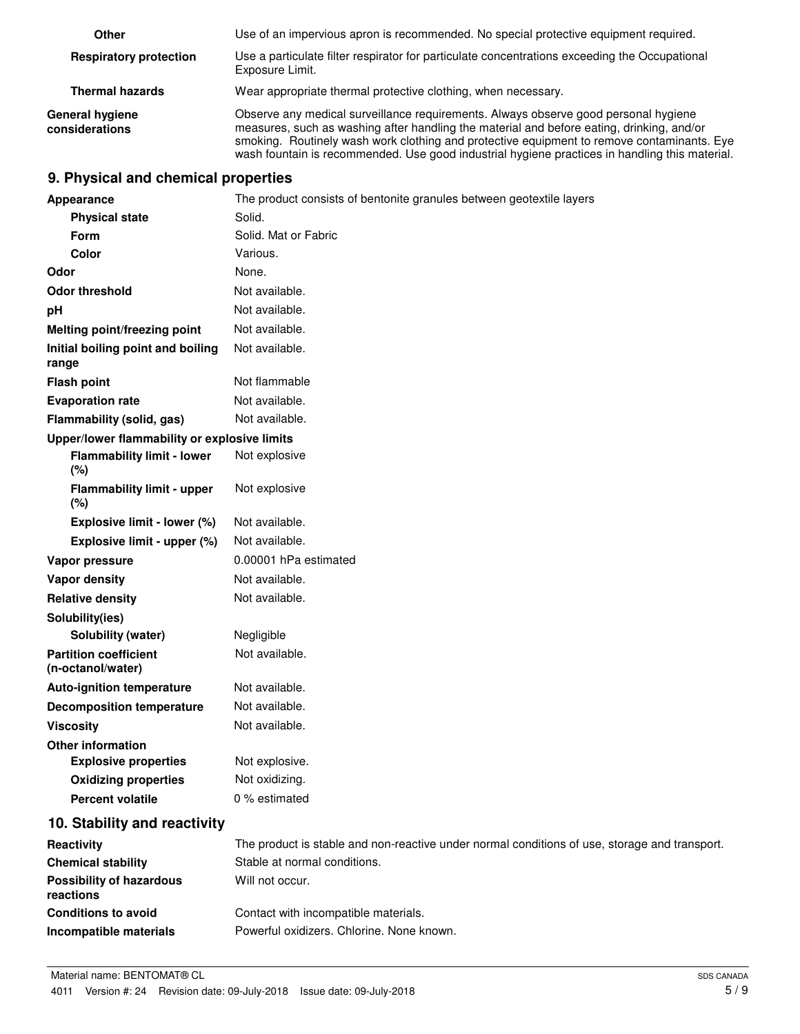| Other                                    | Use of an impervious apron is recommended. No special protective equipment required.                                                                                                                                                                                                                                                                                             |
|------------------------------------------|----------------------------------------------------------------------------------------------------------------------------------------------------------------------------------------------------------------------------------------------------------------------------------------------------------------------------------------------------------------------------------|
| <b>Respiratory protection</b>            | Use a particulate filter respirator for particulate concentrations exceeding the Occupational<br>Exposure Limit.                                                                                                                                                                                                                                                                 |
| <b>Thermal hazards</b>                   | Wear appropriate thermal protective clothing, when necessary.                                                                                                                                                                                                                                                                                                                    |
| <b>General hygiene</b><br>considerations | Observe any medical surveillance requirements. Always observe good personal hygiene<br>measures, such as washing after handling the material and before eating, drinking, and/or<br>smoking. Routinely wash work clothing and protective equipment to remove contaminants. Eye<br>wash fountain is recommended. Use good industrial hygiene practices in handling this material. |

# **9. Physical and chemical properties**

| Appearance                                        | The product consists of bentonite granules between geotextile layers                          |
|---------------------------------------------------|-----------------------------------------------------------------------------------------------|
| <b>Physical state</b>                             | Solid.                                                                                        |
| Form                                              | Solid. Mat or Fabric                                                                          |
| Color                                             | Various.                                                                                      |
| Odor                                              | None.                                                                                         |
| <b>Odor threshold</b>                             | Not available.                                                                                |
| pH                                                | Not available.                                                                                |
| Melting point/freezing point                      | Not available.                                                                                |
| Initial boiling point and boiling<br>range        | Not available.                                                                                |
| <b>Flash point</b>                                | Not flammable                                                                                 |
| <b>Evaporation rate</b>                           | Not available.                                                                                |
| Flammability (solid, gas)                         | Not available.                                                                                |
| Upper/lower flammability or explosive limits      |                                                                                               |
| <b>Flammability limit - lower</b><br>(%)          | Not explosive                                                                                 |
| <b>Flammability limit - upper</b><br>(%)          | Not explosive                                                                                 |
| Explosive limit - lower (%)                       | Not available.                                                                                |
| Explosive limit - upper (%)                       | Not available.                                                                                |
| Vapor pressure                                    | 0.00001 hPa estimated                                                                         |
| Vapor density                                     | Not available.                                                                                |
| <b>Relative density</b>                           | Not available.                                                                                |
| Solubility(ies)                                   |                                                                                               |
| Solubility (water)                                | Negligible                                                                                    |
| <b>Partition coefficient</b><br>(n-octanol/water) | Not available.                                                                                |
| <b>Auto-ignition temperature</b>                  | Not available.                                                                                |
| <b>Decomposition temperature</b>                  | Not available.                                                                                |
| <b>Viscosity</b>                                  | Not available.                                                                                |
| <b>Other information</b>                          |                                                                                               |
| <b>Explosive properties</b>                       | Not explosive.                                                                                |
| <b>Oxidizing properties</b>                       | Not oxidizing.                                                                                |
| <b>Percent volatile</b>                           | 0 % estimated                                                                                 |
| 10. Stability and reactivity                      |                                                                                               |
| Reactivity                                        | The product is stable and non-reactive under normal conditions of use, storage and transport. |
| <b>Chemical stability</b>                         | Stable at normal conditions.                                                                  |
| <b>Possibility of hazardous</b><br>reactions      | Will not occur.                                                                               |
| <b>Conditions to avoid</b>                        | Contact with incompatible materials.                                                          |
| Incompatible materials                            | Powerful oxidizers. Chlorine. None known.                                                     |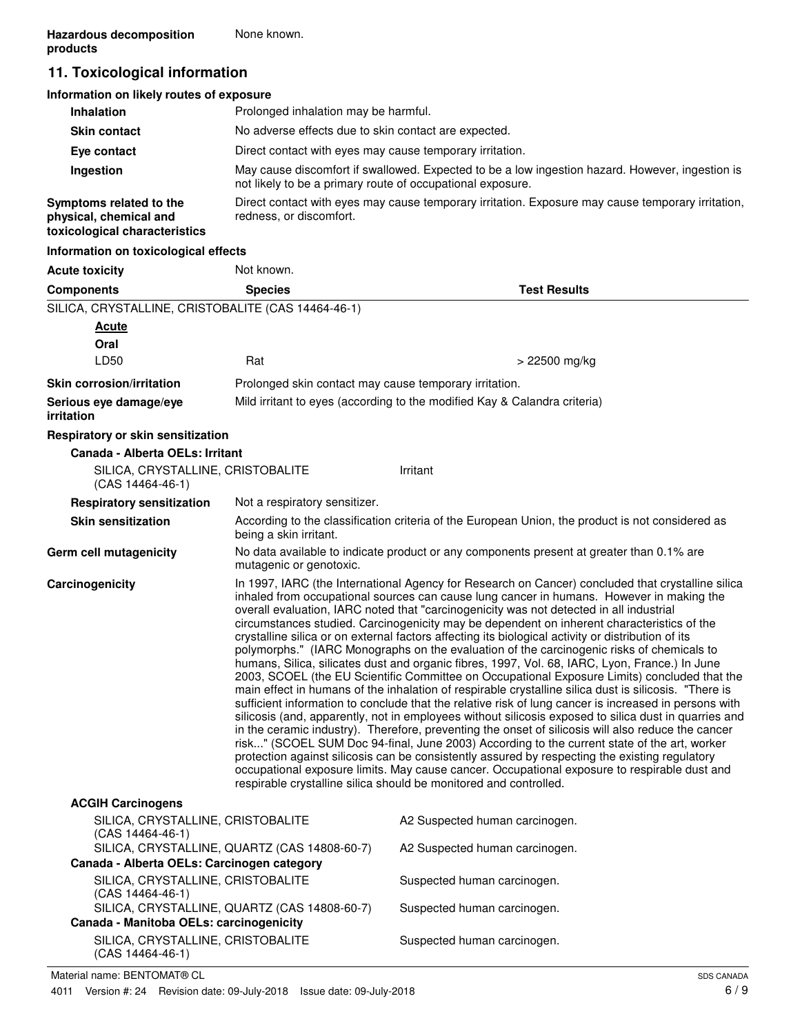# **11. Toxicological information**

| Information on likely routes of exposure                                           |                                                                                                                                                               |
|------------------------------------------------------------------------------------|---------------------------------------------------------------------------------------------------------------------------------------------------------------|
| <b>Inhalation</b>                                                                  | Prolonged inhalation may be harmful.                                                                                                                          |
| <b>Skin contact</b>                                                                | No adverse effects due to skin contact are expected.                                                                                                          |
| Eye contact                                                                        | Direct contact with eyes may cause temporary irritation.                                                                                                      |
| Ingestion                                                                          | May cause discomfort if swallowed. Expected to be a low ingestion hazard. However, ingestion is<br>not likely to be a primary route of occupational exposure. |
| Symptoms related to the<br>physical, chemical and<br>toxicological characteristics | Direct contact with eyes may cause temporary irritation. Exposure may cause temporary irritation,<br>redness, or discomfort.                                  |
| Information on toxicological effects                                               |                                                                                                                                                               |

### **Acute toxicity** Not known. **Components Species Test Results** SILICA, CRYSTALLINE, CRISTOBALITE (CAS 14464-46-1) **Oral Acute**  $LD50$  Rat  $RLD50$   $\rightarrow$  22500 mg/kg **Skin corrosion/irritation Prolonged skin contact may cause temporary irritation. Serious eye damage/eye** Mild irritant to eyes (according to the modified Kay & Calandra criteria) **irritation Respiratory or skin sensitization Canada - Alberta OELs: Irritant** SILICA, CRYSTALLINE, CRISTOBALITE (CAS 14464-46-1) Irritant **Respiratory sensitization** Not a respiratory sensitizer. According to the classification criteria of the European Union, the product is not considered as being a skin irritant. **Skin sensitization** No data available to indicate product or any components present at greater than 0.1% are mutagenic or genotoxic. **Germ cell mutagenicity Carcinogenicity** In 1997, IARC (the International Agency for Research on Cancer) concluded that crystalline silica inhaled from occupational sources can cause lung cancer in humans. However in making the overall evaluation, IARC noted that "carcinogenicity was not detected in all industrial circumstances studied. Carcinogenicity may be dependent on inherent characteristics of the crystalline silica or on external factors affecting its biological activity or distribution of its polymorphs." (IARC Monographs on the evaluation of the carcinogenic risks of chemicals to humans, Silica, silicates dust and organic fibres, 1997, Vol. 68, IARC, Lyon, France.) In June 2003, SCOEL (the EU Scientific Committee on Occupational Exposure Limits) concluded that the main effect in humans of the inhalation of respirable crystalline silica dust is silicosis. "There is sufficient information to conclude that the relative risk of lung cancer is increased in persons with silicosis (and, apparently, not in employees without silicosis exposed to silica dust in quarries and in the ceramic industry). Therefore, preventing the onset of silicosis will also reduce the cancer risk..." (SCOEL SUM Doc 94-final, June 2003) According to the current state of the art, worker protection against silicosis can be consistently assured by respecting the existing regulatory occupational exposure limits. May cause cancer. Occupational exposure to respirable dust and respirable crystalline silica should be monitored and controlled. **ACGIH Carcinogens** SILICA, CRYSTALLINE, CRISTOBALITE (CAS 14464-46-1) A2 Suspected human carcinogen. SILICA, CRYSTALLINE, QUARTZ (CAS 14808-60-7) A2 Suspected human carcinogen. **Canada - Alberta OELs: Carcinogen category**

Suspected human carcinogen.

Suspected human carcinogen.

SILICA, CRYSTALLINE, QUARTZ (CAS 14808-60-7) Suspected human carcinogen.

SILICA, CRYSTALLINE, CRISTOBALITE

**Canada - Manitoba OELs: carcinogenicity** SILICA, CRYSTALLINE, CRISTOBALITE

(CAS 14464-46-1)

(CAS 14464-46-1)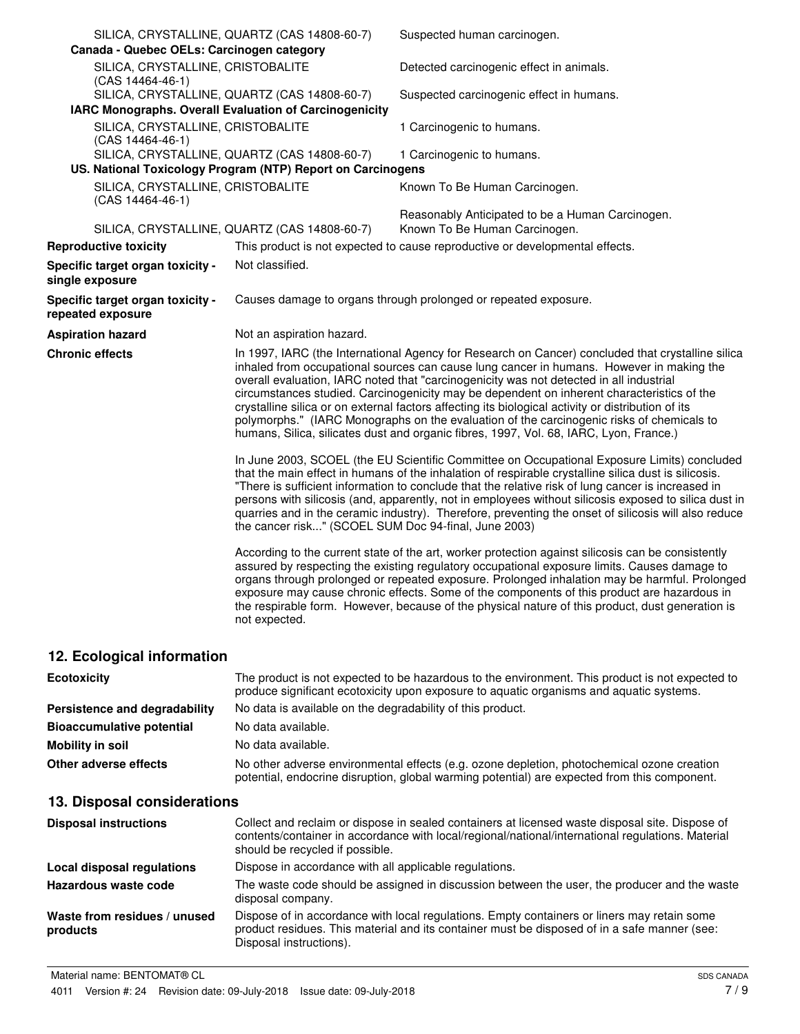| Canada - Quebec OELs: Carcinogen category               | SILICA, CRYSTALLINE, QUARTZ (CAS 14808-60-7)                                                                | Suspected human carcinogen.                                                                                                                                                                                                                                                                                                                                                                                                                                                                                                                                                                                                                                                         |
|---------------------------------------------------------|-------------------------------------------------------------------------------------------------------------|-------------------------------------------------------------------------------------------------------------------------------------------------------------------------------------------------------------------------------------------------------------------------------------------------------------------------------------------------------------------------------------------------------------------------------------------------------------------------------------------------------------------------------------------------------------------------------------------------------------------------------------------------------------------------------------|
| SILICA, CRYSTALLINE, CRISTOBALITE<br>(CAS 14464-46-1)   |                                                                                                             | Detected carcinogenic effect in animals.                                                                                                                                                                                                                                                                                                                                                                                                                                                                                                                                                                                                                                            |
| IARC Monographs. Overall Evaluation of Carcinogenicity  | SILICA, CRYSTALLINE, QUARTZ (CAS 14808-60-7)                                                                | Suspected carcinogenic effect in humans.                                                                                                                                                                                                                                                                                                                                                                                                                                                                                                                                                                                                                                            |
| SILICA, CRYSTALLINE, CRISTOBALITE<br>$(CAS 14464-46-1)$ |                                                                                                             | 1 Carcinogenic to humans.                                                                                                                                                                                                                                                                                                                                                                                                                                                                                                                                                                                                                                                           |
|                                                         | SILICA, CRYSTALLINE, QUARTZ (CAS 14808-60-7)<br>US. National Toxicology Program (NTP) Report on Carcinogens | 1 Carcinogenic to humans.                                                                                                                                                                                                                                                                                                                                                                                                                                                                                                                                                                                                                                                           |
| SILICA, CRYSTALLINE, CRISTOBALITE<br>(CAS 14464-46-1)   |                                                                                                             | Known To Be Human Carcinogen.                                                                                                                                                                                                                                                                                                                                                                                                                                                                                                                                                                                                                                                       |
|                                                         | SILICA, CRYSTALLINE, QUARTZ (CAS 14808-60-7)                                                                | Reasonably Anticipated to be a Human Carcinogen.<br>Known To Be Human Carcinogen.                                                                                                                                                                                                                                                                                                                                                                                                                                                                                                                                                                                                   |
| <b>Reproductive toxicity</b>                            |                                                                                                             | This product is not expected to cause reproductive or developmental effects.                                                                                                                                                                                                                                                                                                                                                                                                                                                                                                                                                                                                        |
| Specific target organ toxicity -<br>single exposure     | Not classified.                                                                                             |                                                                                                                                                                                                                                                                                                                                                                                                                                                                                                                                                                                                                                                                                     |
| Specific target organ toxicity -<br>repeated exposure   |                                                                                                             | Causes damage to organs through prolonged or repeated exposure.                                                                                                                                                                                                                                                                                                                                                                                                                                                                                                                                                                                                                     |
| <b>Aspiration hazard</b>                                | Not an aspiration hazard.                                                                                   |                                                                                                                                                                                                                                                                                                                                                                                                                                                                                                                                                                                                                                                                                     |
| <b>Chronic effects</b>                                  |                                                                                                             | In 1997, IARC (the International Agency for Research on Cancer) concluded that crystalline silica<br>inhaled from occupational sources can cause lung cancer in humans. However in making the<br>overall evaluation, IARC noted that "carcinogenicity was not detected in all industrial<br>circumstances studied. Carcinogenicity may be dependent on inherent characteristics of the<br>crystalline silica or on external factors affecting its biological activity or distribution of its<br>polymorphs." (IARC Monographs on the evaluation of the carcinogenic risks of chemicals to<br>humans, Silica, silicates dust and organic fibres, 1997, Vol. 68, IARC, Lyon, France.) |
|                                                         | the cancer risk" (SCOEL SUM Doc 94-final, June 2003)                                                        | In June 2003, SCOEL (the EU Scientific Committee on Occupational Exposure Limits) concluded<br>that the main effect in humans of the inhalation of respirable crystalline silica dust is silicosis.<br>"There is sufficient information to conclude that the relative risk of lung cancer is increased in<br>persons with silicosis (and, apparently, not in employees without silicosis exposed to silica dust in<br>quarries and in the ceramic industry). Therefore, preventing the onset of silicosis will also reduce                                                                                                                                                          |
|                                                         | not expected.                                                                                               | According to the current state of the art, worker protection against silicosis can be consistently<br>assured by respecting the existing regulatory occupational exposure limits. Causes damage to<br>organs through prolonged or repeated exposure. Prolonged inhalation may be harmful. Prolonged<br>exposure may cause chronic effects. Some of the components of this product are hazardous in<br>the respirable form. However, because of the physical nature of this product, dust generation is                                                                                                                                                                              |
| 12. Ecological information                              |                                                                                                             |                                                                                                                                                                                                                                                                                                                                                                                                                                                                                                                                                                                                                                                                                     |

| <b>Ecotoxicity</b>               | The product is not expected to be hazardous to the environment. This product is not expected to<br>produce significant ecotoxicity upon exposure to aquatic organisms and aquatic systems. |
|----------------------------------|--------------------------------------------------------------------------------------------------------------------------------------------------------------------------------------------|
| Persistence and degradability    | No data is available on the degradability of this product.                                                                                                                                 |
| <b>Bioaccumulative potential</b> | No data available.                                                                                                                                                                         |
| Mobility in soil                 | No data available.                                                                                                                                                                         |
| Other adverse effects            | No other adverse environmental effects (e.g. ozone depletion, photochemical ozone creation<br>potential, endocrine disruption, global warming potential) are expected from this component. |

# **13. Disposal considerations**

| <b>Disposal instructions</b>             | Collect and reclaim or dispose in sealed containers at licensed waste disposal site. Dispose of<br>contents/container in accordance with local/regional/national/international regulations. Material<br>should be recycled if possible. |
|------------------------------------------|-----------------------------------------------------------------------------------------------------------------------------------------------------------------------------------------------------------------------------------------|
| Local disposal regulations               | Dispose in accordance with all applicable regulations.                                                                                                                                                                                  |
| Hazardous waste code                     | The waste code should be assigned in discussion between the user, the producer and the waste<br>disposal company.                                                                                                                       |
| Waste from residues / unused<br>products | Dispose of in accordance with local regulations. Empty containers or liners may retain some<br>product residues. This material and its container must be disposed of in a safe manner (see:<br>Disposal instructions).                  |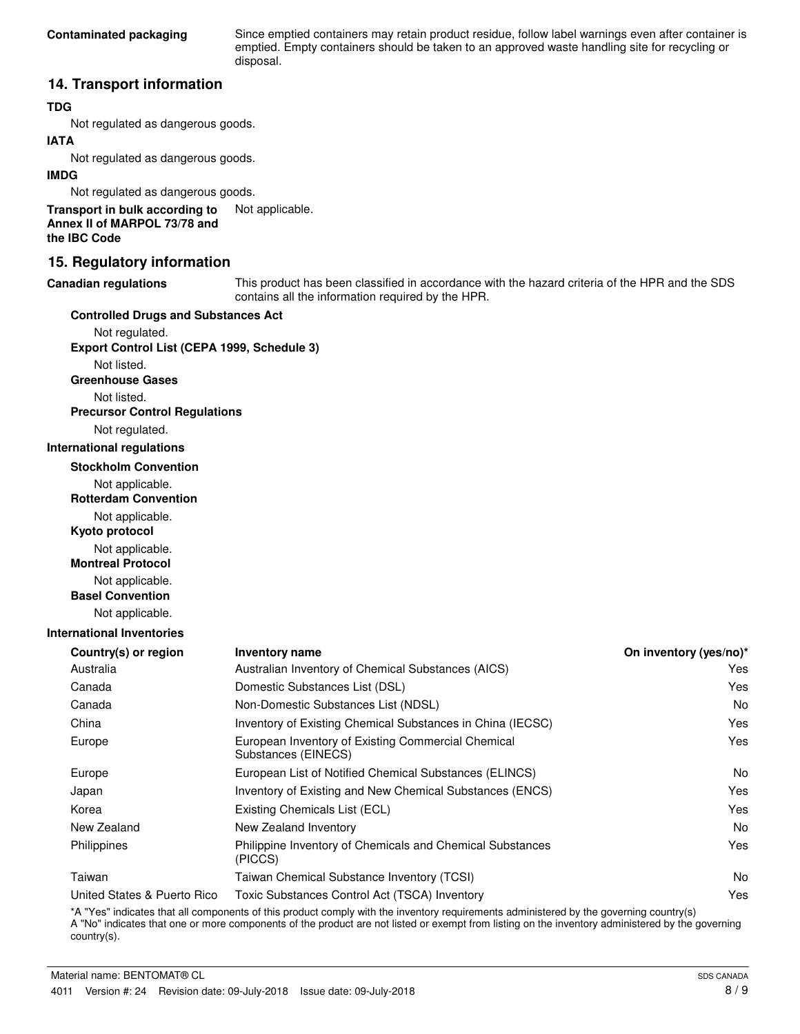Since emptied containers may retain product residue, follow label warnings even after container is emptied. Empty containers should be taken to an approved waste handling site for recycling or disposal.

## **14. Transport information**

## **TDG**

Not regulated as dangerous goods.

## **IATA**

Not regulated as dangerous goods.

## **IMDG**

Not regulated as dangerous goods.

**Transport in bulk according to** Not applicable. **Annex II of MARPOL 73/78 and the IBC Code**

## **15. Regulatory information**

#### **Canadian regulations**

This product has been classified in accordance with the hazard criteria of the HPR and the SDS contains all the information required by the HPR.

#### **Controlled Drugs and Substances Act**

Not regulated. **Export Control List (CEPA 1999, Schedule 3)**

Not listed.

**Greenhouse Gases**

Not listed.

**Precursor Control Regulations**

Not regulated.

#### **International regulations**

**Stockholm Convention**

Not applicable.

**Rotterdam Convention**

Not applicable.

**Kyoto protocol**

Not applicable.

**Montreal Protocol**

Not applicable.

**Basel Convention**

Not applicable.

## **International Inventories**

| <b>Inventory name</b>                                                     | On inventory (yes/no)* |
|---------------------------------------------------------------------------|------------------------|
| Australian Inventory of Chemical Substances (AICS)                        | Yes                    |
| Domestic Substances List (DSL)                                            | Yes                    |
| Non-Domestic Substances List (NDSL)                                       | No.                    |
| Inventory of Existing Chemical Substances in China (IECSC)                | Yes                    |
| European Inventory of Existing Commercial Chemical<br>Substances (EINECS) | Yes                    |
| European List of Notified Chemical Substances (ELINCS)                    | N <sub>o</sub>         |
| Inventory of Existing and New Chemical Substances (ENCS)                  | Yes                    |
| Existing Chemicals List (ECL)                                             | Yes                    |
| New Zealand Inventory                                                     | No.                    |
| Philippine Inventory of Chemicals and Chemical Substances<br>(PICCS)      | Yes                    |
| Taiwan Chemical Substance Inventory (TCSI)                                | No.                    |
| Toxic Substances Control Act (TSCA) Inventory                             | Yes                    |
|                                                                           |                        |

\*A "Yes" indicates that all components of this product comply with the inventory requirements administered by the governing country(s) A "No" indicates that one or more components of the product are not listed or exempt from listing on the inventory administered by the governing country(s).